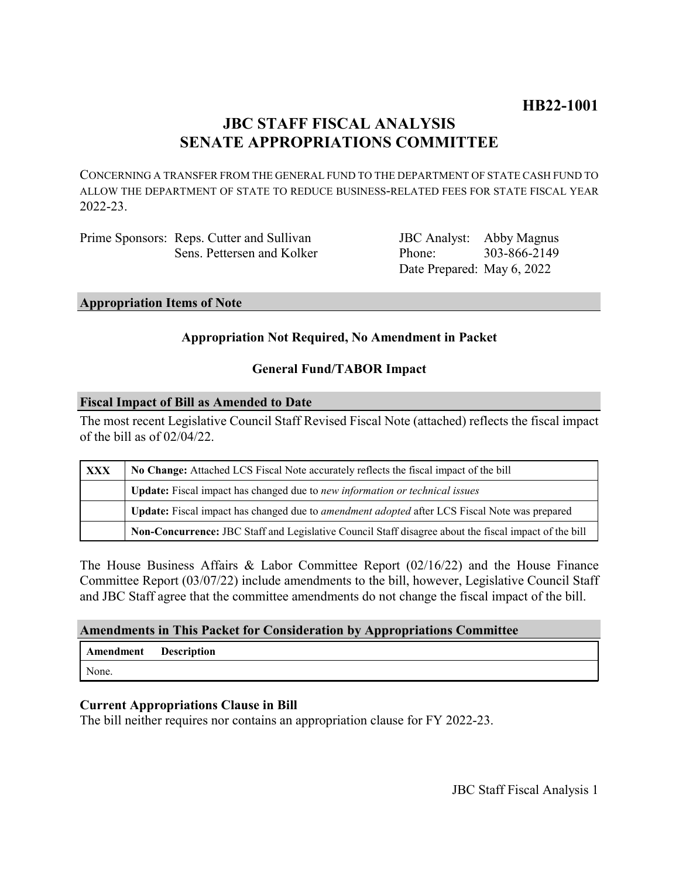# **JBC STAFF FISCAL ANALYSIS SENATE APPROPRIATIONS COMMITTEE**

CONCERNING A TRANSFER FROM THE GENERAL FUND TO THE DEPARTMENT OF STATE CASH FUND TO ALLOW THE DEPARTMENT OF STATE TO REDUCE BUSINESS-RELATED FEES FOR STATE FISCAL YEAR 2022-23.

| Prime Sponsors: Reps. Cutter and Sullivan |
|-------------------------------------------|
| Sens. Pettersen and Kolker                |

JBC Analyst: Abby Magnus Phone: Date Prepared: May 6, 2022 303-866-2149

## **Appropriation Items of Note**

# **Appropriation Not Required, No Amendment in Packet**

# **General Fund/TABOR Impact**

#### **Fiscal Impact of Bill as Amended to Date**

The most recent Legislative Council Staff Revised Fiscal Note (attached) reflects the fiscal impact of the bill as of 02/04/22.

| XXX | No Change: Attached LCS Fiscal Note accurately reflects the fiscal impact of the bill                       |  |
|-----|-------------------------------------------------------------------------------------------------------------|--|
|     | Update: Fiscal impact has changed due to new information or technical issues                                |  |
|     | <b>Update:</b> Fiscal impact has changed due to <i>amendment adopted</i> after LCS Fiscal Note was prepared |  |
|     | Non-Concurrence: JBC Staff and Legislative Council Staff disagree about the fiscal impact of the bill       |  |

The House Business Affairs & Labor Committee Report (02/16/22) and the House Finance Committee Report (03/07/22) include amendments to the bill, however, Legislative Council Staff and JBC Staff agree that the committee amendments do not change the fiscal impact of the bill.

### **Amendments in This Packet for Consideration by Appropriations Committee**

| Amendment | Description |
|-----------|-------------|
| None.     |             |

### **Current Appropriations Clause in Bill**

The bill neither requires nor contains an appropriation clause for FY 2022-23.